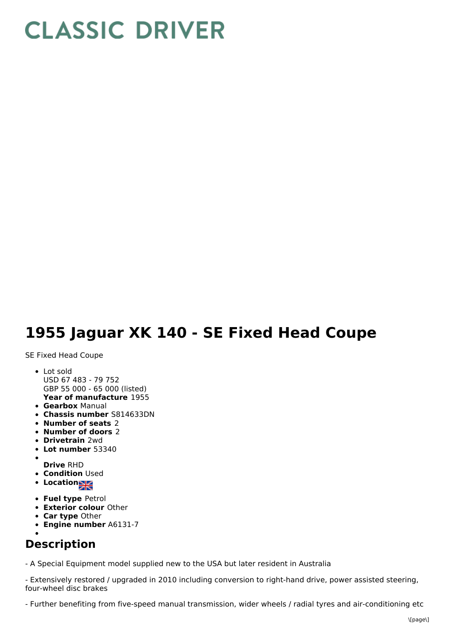## **CLASSIC DRIVER**

## **1955 Jaguar XK 140 - SE Fixed Head Coupe**

SE Fixed Head Coupe

- **Year of manufacture** 1955 • Lot sold USD 67 483 - 79 752 GBP 55 000 - 65 000 (listed)
- **Gearbox** Manual
- **Chassis number** S814633DN
- **Number of seats** 2
- **Number of doors** 2
- **Drivetrain** 2wd
- **Lot number** 53340
- 
- **Drive** RHD **• Condition Used**
- 
- Location
- **Fuel type** Petrol
- **Exterior colour** Other
- **Car type** Other
- **Engine number** A6131-7

## **Description**

- A Special Equipment model supplied new to the USA but later resident in Australia

- Extensively restored / upgraded in 2010 including conversion to right-hand drive, power assisted steering, four-wheel disc brakes

- Further benefiting from five-speed manual transmission, wider wheels / radial tyres and air-conditioning etc